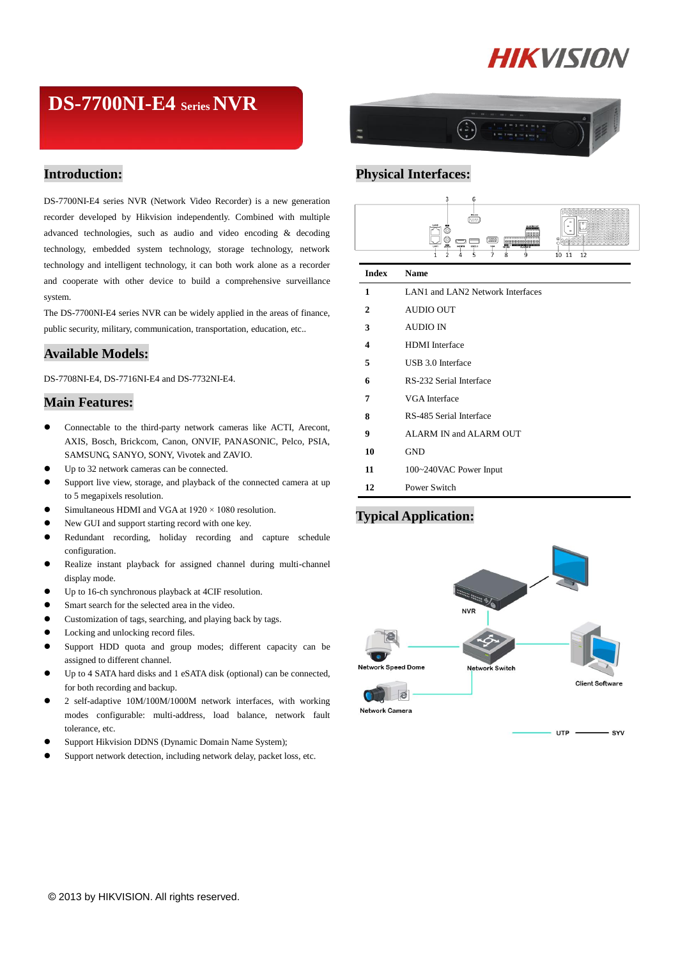# **HIKVISION**

# **DS-7700NI-E4 SeriesNVR**

## **Introduction:**

DS-7700NI-E4 series NVR (Network Video Recorder) is a new generation recorder developed by Hikvision independently. Combined with multiple advanced technologies, such as audio and video encoding & decoding technology, embedded system technology, storage technology, network technology and intelligent technology, it can both work alone as a recorder and cooperate with other device to build a comprehensive surveillance system.

The DS-7700NI-E4 series NVR can be widely applied in the areas of finance, public security, military, communication, transportation, education, etc..

### **Available Models:**

DS-7708NI-E4, DS-7716NI-E4 and DS-7732NI-E4.

### **Main Features:**

- Connectable to the third-party network cameras like ACTI, Arecont, AXIS, Bosch, Brickcom, Canon, ONVIF, PANASONIC, Pelco, PSIA, SAMSUNG, SANYO, SONY, Vivotek and ZAVIO.
- Up to 32 network cameras can be connected.
- Support live view, storage, and playback of the connected camera at up to 5 megapixels resolution.
- Simultaneous HDMI and VGA at  $1920 \times 1080$  resolution.
- New GUI and support starting record with one key.
- Redundant recording, holiday recording and capture schedule configuration.
- Realize instant playback for assigned channel during multi-channel display mode.
- Up to 16-ch synchronous playback at 4CIF resolution.
- Smart search for the selected area in the video.
- Customization of tags, searching, and playing back by tags.
- Locking and unlocking record files.
- Support HDD quota and group modes; different capacity can be assigned to different channel.
- Up to 4 SATA hard disks and 1 eSATA disk (optional) can be connected, for both recording and backup.
- 2 self-adaptive 10M/100M/1000M network interfaces, with working modes configurable: multi-address, load balance, network fault tolerance, etc.
- Support Hikvision DDNS (Dynamic Domain Name System);
- Support network detection, including network delay, packet loss, etc.



# **Physical Interfaces:**



#### **Index Name**

| 1  | LAN1 and LAN2 Network Interfaces |  |  |  |
|----|----------------------------------|--|--|--|
| 2  | AUDIO OUT                        |  |  |  |
| 3  | AUDIO IN                         |  |  |  |
| 4  | <b>HDMI</b> Interface            |  |  |  |
| 5  | USB 3.0 Interface                |  |  |  |
| 6  | RS-232 Serial Interface          |  |  |  |
| 7  | VGA Interface                    |  |  |  |
| 8  | RS-485 Serial Interface          |  |  |  |
| 9  | ALARM IN and ALARM OUT           |  |  |  |
| 10 | <b>GND</b>                       |  |  |  |
| 11 | 100~240VAC Power Input           |  |  |  |
| 12 | Power Switch                     |  |  |  |

# **Typical Application:**

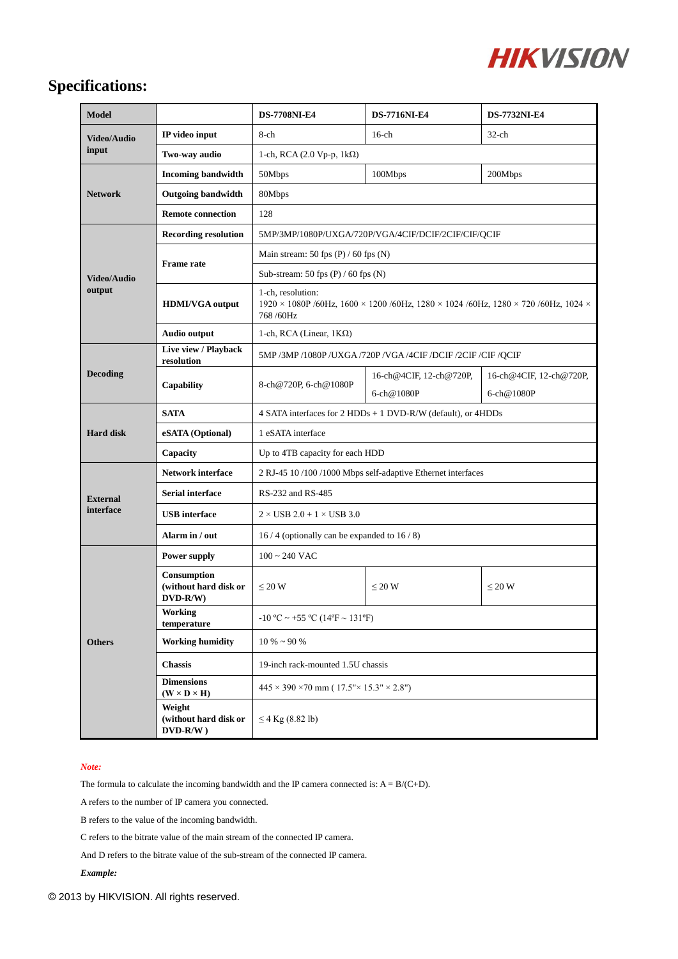

# **Specifications:**

| <b>Model</b>                 |                                                  | <b>DS-7708NI-E4</b>                                                                                                 | <b>DS-7716NI-E4</b>     | <b>DS-7732NI-E4</b>     |  |
|------------------------------|--------------------------------------------------|---------------------------------------------------------------------------------------------------------------------|-------------------------|-------------------------|--|
| <b>Video/Audio</b><br>input  | IP video input                                   | 8-ch                                                                                                                | $16$ -ch                | $32$ -ch                |  |
|                              | Two-way audio                                    | 1-ch, RCA $(2.0 \text{ Vp-p}, 1 \text{k}\Omega)$                                                                    |                         |                         |  |
| <b>Network</b>               | <b>Incoming bandwidth</b>                        | 50Mbps                                                                                                              | 100Mbps                 | 200Mbps                 |  |
|                              | <b>Outgoing bandwidth</b>                        | 80Mbps                                                                                                              |                         |                         |  |
|                              | <b>Remote connection</b>                         | 128                                                                                                                 |                         |                         |  |
| <b>Video/Audio</b><br>output | <b>Recording resolution</b>                      | 5MP/3MP/1080P/UXGA/720P/VGA/4CIF/DCIF/2CIF/CIF/QCIF                                                                 |                         |                         |  |
|                              | <b>Frame</b> rate                                | Main stream: 50 fps $(P) / 60$ fps $(N)$                                                                            |                         |                         |  |
|                              |                                                  | Sub-stream: 50 fps $(P)$ / 60 fps $(N)$                                                                             |                         |                         |  |
|                              | <b>HDMI/VGA</b> output                           | 1-ch, resolution:<br>1920 × 1080P /60Hz, 1600 × 1200 /60Hz, 1280 × 1024 /60Hz, 1280 × 720 /60Hz, 1024 ×<br>768/60Hz |                         |                         |  |
|                              | <b>Audio output</b>                              | 1-ch, RCA (Linear, $1K\Omega$ )                                                                                     |                         |                         |  |
| <b>Decoding</b>              | Live view / Playback<br>resolution               | 5MP/3MP/1080P/UXGA/720P/VGA/4CIF/DCIF/2CIF/CIF/QCIF                                                                 |                         |                         |  |
|                              | Capability                                       | 8-ch@720P, 6-ch@1080P                                                                                               | 16-ch@4CIF, 12-ch@720P, | 16-ch@4CIF, 12-ch@720P, |  |
|                              |                                                  |                                                                                                                     | 6-ch@1080P              | 6-ch@1080P              |  |
| <b>Hard disk</b>             | <b>SATA</b>                                      | 4 SATA interfaces for 2 HDDs + 1 DVD-R/W (default), or 4HDDs                                                        |                         |                         |  |
|                              | eSATA (Optional)                                 | 1 eSATA interface                                                                                                   |                         |                         |  |
|                              | Capacity                                         | Up to 4TB capacity for each HDD                                                                                     |                         |                         |  |
| <b>External</b><br>interface | <b>Network interface</b>                         | 2 RJ-45 10 /100 /1000 Mbps self-adaptive Ethernet interfaces                                                        |                         |                         |  |
|                              | <b>Serial interface</b>                          | RS-232 and RS-485                                                                                                   |                         |                         |  |
|                              | <b>USB</b> interface                             | $2 \times$ USB 2.0 + 1 $\times$ USB 3.0                                                                             |                         |                         |  |
|                              | Alarm in / out                                   | 16/4 (optionally can be expanded to $16/8$ )                                                                        |                         |                         |  |
| <b>Others</b>                | Power supply                                     | $100 \sim 240$ VAC                                                                                                  |                         |                         |  |
|                              | Consumption<br>(without hard disk or<br>DVD-R/W) | $\leq 20$ W                                                                                                         | $\leq 20$ W             | $\leq 20$ W             |  |
|                              | <b>Working</b><br>temperature                    | -10 °C ~ +55 °C (14°F ~ 131°F)                                                                                      |                         |                         |  |
|                              | <b>Working humidity</b>                          | $10\% \sim 90\%$                                                                                                    |                         |                         |  |
|                              | <b>Chassis</b>                                   | 19-inch rack-mounted 1.5U chassis                                                                                   |                         |                         |  |
|                              | <b>Dimensions</b><br>$(W \times D \times H)$     | $445 \times 390 \times 70$ mm ( $17.5$ " $\times$ 15.3" $\times$ 2.8")                                              |                         |                         |  |
|                              | Weight<br>(without hard disk or<br>$DVD-R/W$ )   | ≤4 Kg (8.82 lb)                                                                                                     |                         |                         |  |

#### *Note:*

The formula to calculate the incoming bandwidth and the IP camera connected is:  $A = B/(C+D)$ .

A refers to the number of IP camera you connected.

B refers to the value of the incoming bandwidth.

C refers to the bitrate value of the main stream of the connected IP camera.

And D refers to the bitrate value of the sub-stream of the connected IP camera.

#### *Example:*